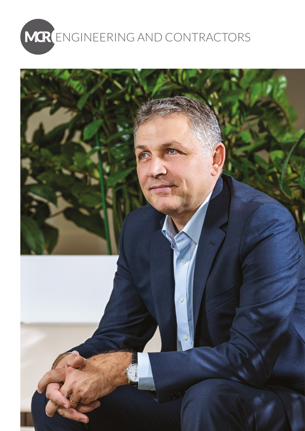

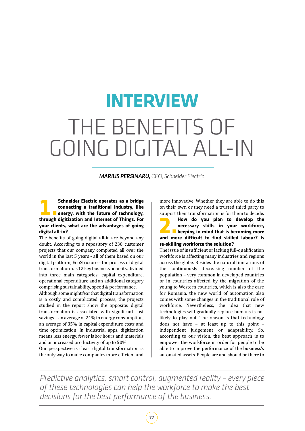## THE BENEFITS OF GOING DIGITAL ALL-IN **INTERVIEW**

*MARIUS PERSINARU, CEO, Schneider Electric*

**1. Schneider Electric operates as a bridge<br>
1. Connecting a traditional industry, like<br>
1. Exercy, with the future of technology,<br>
through digitization and Internet of Things Form connecting a traditional industry, like energy, with the future of technology, through digitization and Internet of Things. For your clients, what are the advantages of going digital all-in?** 

The benefits of going digital all-in are beyond any doubt. According to a repository of 230 customer projects that our company completed all over the world in the last 5 years - all of them based on our digital platform, EcoStruxure – the process of digital transformation has 12 key business benefits, divided into three main categories: capital expenditure, operational expenditure and an additional category comprising sustainability, speed & performance.

Although some might fear that digital transformation is a costly and complicated process, the projects studied in the report show the opposite: digital transformation is associated with significant cost savings – an average of 24% in energy consumption, an average of 35% in capital expenditure costs and time optimization. In Industrial apps, digitization means less energy, fewer labor hours and materials and an increased productivity of up to 50%.

Our perspective is clear: digital transformation is the only way to make companies more efficient and

more innovative. Whether they are able to do this on their own or they need a trusted third party to

support their transformation is for them to decide.<br>**How do you plan to develop the 2.4 How do you plan to develop the<br>
necessary skills in your workforce,<br>
<b>2.2.4 How have a** keeping in mind that is becoming more<br>
and more difficult to find skilled labour? Is **necessary skills in your workforce, keeping in mind that is becoming more and more difficult to find skilled labour? Is re-skilling workforce the solution?**

The issue of insufficient or lacking full-qualification workforce is affecting many industries and regions across the globe. Besides the natural limitations of the continuously decreasing number of the population – very common in developed countries or in countries affected by the migration of the young to Western countries, which is also the case for Romania, the new world of automation also comes with some changes in the traditional role of workforce. Nevertheless, the idea that new technologies will gradually replace humans is not likely to play out. The reason is that technology does not have – at least up to this point – independent judgement or adaptability. So, according to our vision, the best approach is to empower the workforce in order for people to be able to improve the performance of the business's automated assets. People are and should be there to

*Predictive analytics, smart control, augmented reality – every piece of these technologies can help the workforce to make the best decisions for the best performance of the business.*